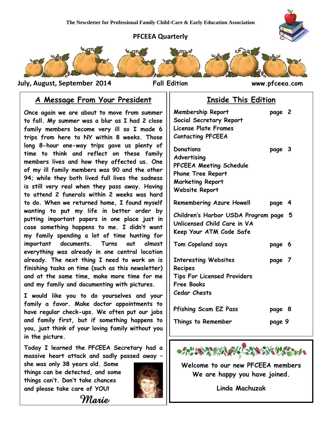#### **PFCEEA Quarterly**



 **July, August, September 2014 Fall Edition www.pfceea.com**

### **A Message From Your President**

**Once again we are about to move from summer to fall. My summer was a blur as I had 2 close family members become very ill so I made 6 trips from here to NY within 8 weeks. Those long 8-hour one-way trips gave us plenty of time to think and reflect on these family members lives and how they affected us. One of my ill family members was 90 and the other 94; while they both lived full lives the sadness is still very real when they pass away. Having to attend 2 funerals within 2 weeks was hard to do. When we returned home, I found myself wanting to put my life in better order by putting important papers in one place just in case something happens to me. I didn't want my family spending a lot of time hunting for important documents. Turns out almost everything was already in one central location already. The next thing I need to work on is finishing tasks on time (such as this newsletter) and at the same time, make more time for me and my family and documenting with pictures.** 

**I would like you to do yourselves and your family a favor. Make doctor appointments to have regular check-ups. We often put our jobs and family first, but if something happens to you, just think of your loving family without you in the picture.**

**Today I learned the PFCEEA Secretary had a massive heart attack and sadly passed away –**

*Marie* 

**she was only 38 years old. Some things can be detected, and some things can't. Don't take chances and please take care of YOU!**



### **Inside This Edition**

| <b>Membership Report</b><br>Social Secretary Report<br><b>License Plate Frames</b><br><b>Contacting PFCEEA</b>                      | page 2 |  |
|-------------------------------------------------------------------------------------------------------------------------------------|--------|--|
| <b>Donations</b><br>Advertising<br>PFCEEA Meeting Schedule<br><b>Phone Tree Report</b><br><b>Marketing Report</b><br>Website Report | page 3 |  |
| Remembering Azure Howell                                                                                                            | page 4 |  |
| Children's Harbor USDA Program page 5<br>Unlicensed Child Care in VA<br>Keep Your ATM Code Safe                                     |        |  |
| Tom Copeland says                                                                                                                   | page 6 |  |
| <b>Interesting Websites</b><br>Recipes<br><b>Tips For Licensed Providers</b><br>Free Books<br><b>Cedar Chests</b>                   | page 7 |  |
| <b>Pfishing Scam EZ Pass</b>                                                                                                        | page 8 |  |
| Things to Remember                                                                                                                  | page 9 |  |



**Welcome to our new PFCEEA members We are happy you have joined.**

**Linda Machuzak**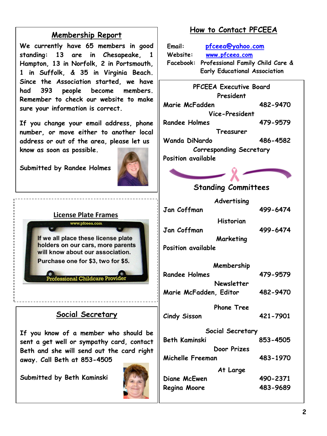## **Membership Report**

**We currently have 65 members in good standing: 13 are in Chesapeake, 1 Hampton, 13 in Norfolk, 2 in Portsmouth, 1 in Suffolk, & 35 in Virginia Beach. Since the Association started, we have had 393 people become members. Remember to check our website to make sure your information is correct.** 

**If you change your email address, phone number, or move either to another local address or out of the area, please let us know as soon as possible.**

**Submitted by Randee Holmes**



#### **License Plate Frames** www.pfceea.com

If we all place these license plate holders on our cars, more parents will know about our association. Purchase one for \$3, two for \$5.

#### fessional Childcare Provi

## **Social Secretary**

**If you know of a member who should be sent a get well or sympathy card, contact Beth and she will send out the card right away. Call Beth at 853-4505**

**Submitted by Beth Kaminski**



## **How to Contact PFCEEA**

**Email: [pfceea@yahoo.com](mailto:pfceea@yahoo.com) Website: [www.pfceea.com](http://www.pfceea.com/) Facebook: Professional Family Child Care & Early Educational Association**

| <b>PFCEEA Executive Board</b><br>President |          |  |  |
|--------------------------------------------|----------|--|--|
| Marie McFadden                             | 482-9470 |  |  |
| Vice-President                             |          |  |  |
| Randee Holmes                              | 479-9579 |  |  |
| Treasurer                                  |          |  |  |
| Wanda DiNardo                              | 486-4582 |  |  |
| <b>Corresponding Secretary</b>             |          |  |  |
| Position available                         |          |  |  |
|                                            |          |  |  |

## **Standing Committees**

| Advertising            |          |
|------------------------|----------|
| Jan Coffman            | 499-6474 |
| Historian              |          |
| Jan Coffman            | 499-6474 |
| Marketing              |          |
| Position available     |          |
| Membership             |          |
| Randee Holmes          | 479-9579 |
| Newsletter             |          |
| Marie McFadden, Editor | 482-9470 |
| <b>Phone Tree</b>      |          |
| Cindy Sisson           | 421-7901 |
| Social Secretary       |          |
| Beth Kaminski          | 853-4505 |
| Door Prizes            |          |
| Michelle Freeman       | 483-1970 |
| At Large               |          |
| Diane McEwen           | 490-2371 |
| Regina Moore           | 483-9689 |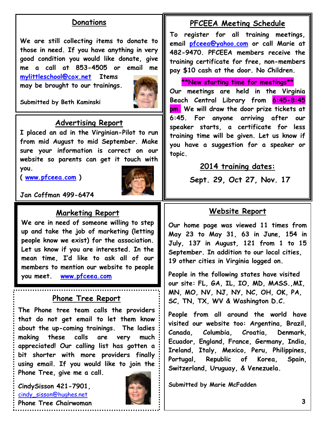#### **Donations**

**We are still collecting items to donate to those in need. If you have anything in very good condition you would like donate, give me a call at 853-4505 or email me [mylittleschool@cox.net](mailto:mylittleschool@cox.net) Items**

**may be brought to our trainings.**



**Submitted by Beth Kaminski**

#### **Advertising Report**

**I placed an ad in the Virginian-Pilot to run from mid August to mid September. Make sure your information is correct on our website so parents can get it touch with you.** 

**( [www.pfceea.com](http://www.pfceea.com/) )**



**Jan Coffman 499-6474**

### **Marketing Report**

**We are in need of someone willing to step up and take the job of marketing (letting people know we exist) for the association. Let us know if you are interested. In the mean time, I'd like to ask all of our members to mention our website to people you meet. [www.pfceea.com](http://www.pfceea.com/)**

#### **Phone Tree Report**

**The Phone tree team calls the providers that do not get email to let them know about the up-coming trainings. The ladies making these calls are very much appreciated! Our calling list has gotten a bit shorter with more providers finally using email. If you would like to join the Phone Tree, give me a call.** 

**CindySisson 421-7901,**  [cindy\\_sisson@hughes.net](mailto:cindy_sisson@hughes.net) **Phone Tree Chairwoman**



#### **PFCEEA Meeting Schedule**

**To register for all training meetings, email [pfceea@yahoo.com](mailto:pfceea@yahoo.com) or call Marie at 482-9470. PFCEEA members receive the training certificate for free, non-members pay \$10 cash at the door. No Children.**

**\*\*New starting time for meetings\*\* Our meetings are held in the Virginia Beach Central Library from 6:45-8:45 pm. We will draw the door prize tickets at 6:45. For anyone arriving after our speaker starts, a certificate for less training time will be given. Let us know if you have a suggestion for a speaker or topic.**

#### **2014 training dates:**

**Sept. 29, Oct 27, Nov. 17**

#### **Website Report**

**Our home page was viewed 11 times from May 23 to May 31, 63 in June, 154 in July, 137 in August, 121 from 1 to 15 September. In addition to our local cities, 19 other cities in Virginia logged on.** 

**People in the following states have visited our site: FL, GA, IL, IO, MD, MASS.,MI, MN, MO, NV, NJ, NY, NC, OH, OK, PA, SC, TN, TX, WV & Washington D.C.** 

**People from all around the world have visited our website too: Argentina, Brazil, Canada, Columbia, Croatia, Denmark, Ecuador, England, France, Germany, India, Ireland, Italy, Mexico, Peru, Philippines, Portugal, Republic of Korea, Spain, Switzerland, Uruguay, & Venezuela.**

**Submitted by Marie McFadden**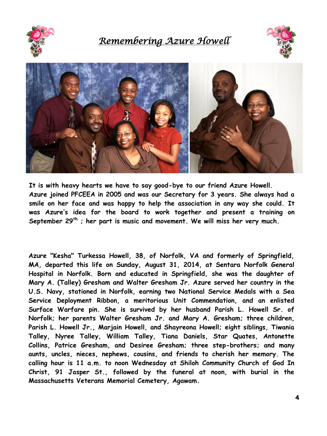

*Remembering Azure Howell* 





**It is with heavy hearts we have to say good-bye to our friend Azure Howell. Azure joined PFCEEA in 2005 and was our Secretary for 3 years. She always had a smile on her face and was happy to help the association in any way she could. It was Azure's idea for the board to work together and present a training on September 29th ; her part is music and movement. We will miss her very much.**

**Azure "Kesha" Turkessa Howell, 38, of Norfolk, VA and formerly of Springfield, MA, departed this life on Sunday, August 31, 2014, at Sentara Norfolk General Hospital in Norfolk. Born and educated in Springfield, she was the daughter of Mary A. (Talley) Gresham and Walter Gresham Jr. Azure served her country in the U.S. Navy, stationed in Norfolk, earning two National Service Medals with a Sea Service Deployment Ribbon, a meritorious Unit Commendation, and an enlisted Surface Warfare pin. She is survived by her husband Parish L. Howell Sr. of Norfolk; her parents Walter Gresham Jr. and Mary A. Gresham; three children, Parish L. Howell Jr., Marjain Howell, and Shayreona Howell; eight siblings, Tiwania Talley, Nyree Talley, William Talley, Tiana Daniels, Star Quates, Antonette Collins, Patrice Gresham, and Desiree Gresham; three step-brothers; and many aunts, uncles, nieces, nephews, cousins, and friends to cherish her memory. The calling hour is 11 a.m. to noon Wednesday at Shiloh Community Church of God In Christ, 91 Jasper St., followed by the funeral at noon, with burial in the Massachusetts Veterans Memorial Cemetery, Agawam.**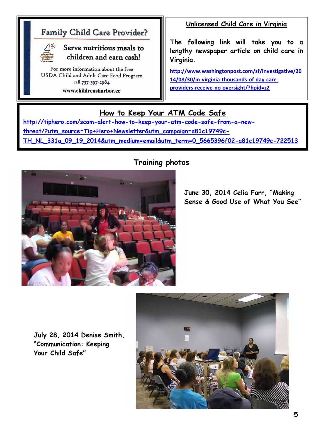# **Family Child Care Provider?**



### Serve nutritious meals to children and earn cash!

For more information about the free USDA Child and Adult Care Food Program call 757-397-2984 www.childrensharbor.cc

**Unlicensed Child Care in Virginia**

**The following link will take you to a lengthy newspaper article on child care in Virginia.**

**[http://www.washingtonpost.com/sf/investigative/20](http://www.washingtonpost.com/sf/investigative/2014/08/30/in-virginia-thousands-of-day-care-providers-receive-no-oversight/?hpid=z2) [14/08/30/in-virginia-thousands-of-day-care](http://www.washingtonpost.com/sf/investigative/2014/08/30/in-virginia-thousands-of-day-care-providers-receive-no-oversight/?hpid=z2)[providers-receive-no-oversight/?hpid=z2](http://www.washingtonpost.com/sf/investigative/2014/08/30/in-virginia-thousands-of-day-care-providers-receive-no-oversight/?hpid=z2)**

## **How to Keep Your ATM Code Safe**

 **[threat/?utm\\_source=Tip+Hero+Newsletter&utm\\_campaign=a81c19749c-](http://tiphero.com/scam-alert-how-to-keep-your-atm-code-safe-from-a-new-threat/?utm_source=Tip+Hero+Newsletter&utm_campaign=a81c19749c-TH_NL_331a_09_19_2014&utm_medium=email&utm_term=0_5665396f02-a81c19749c-722513) [TH\\_NL\\_331a\\_09\\_19\\_2014&utm\\_medium=email&utm\\_term=0\\_5665396f02-a81c19749c-722513](http://tiphero.com/scam-alert-how-to-keep-your-atm-code-safe-from-a-new-threat/?utm_source=Tip+Hero+Newsletter&utm_campaign=a81c19749c-TH_NL_331a_09_19_2014&utm_medium=email&utm_term=0_5665396f02-a81c19749c-722513) [http://tiphero.com/scam-alert-how-to-keep-your-atm-code-safe-from-a-new-](http://tiphero.com/scam-alert-how-to-keep-your-atm-code-safe-from-a-new-threat/?utm_source=Tip+Hero+Newsletter&utm_campaign=a81c19749c-TH_NL_331a_09_19_2014&utm_medium=email&utm_term=0_5665396f02-a81c19749c-722513)**

## **Training photos**



**June 30, 2014 Celia Farr, "Making Sense & Good Use of What You See"**

**July 28, 2014 Denise Smith, "Communication: Keeping Your Child Safe"**

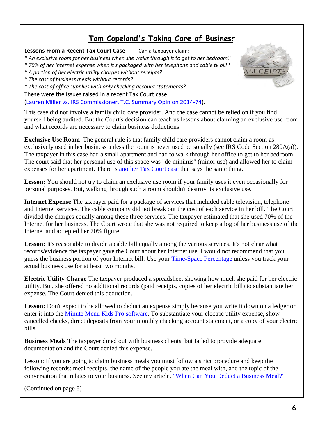## **[Tom Copeland's Taking Care of Business](http://www.tomcopelandblog.com/)**

#### **Lessons From a Recent Tax Court Case** Can a taxpayer claim:

*\* An exclusive room for her business when she walks through it to get to her bedroom?*

- *\* 70% of her Internet expense when it's packaged with her telephone and cable tv bill?*
- *\* A portion of her electric utility charges without receipts?*
- *\* The cost of business meals without records?*
- *\* The cost of office supplies with only checking account statements?*

These were the issues raised in a recent Tax Court case

[\(Lauren Miller vs. IRS Commissioner, T.C. Summary Opinion 2014-74\)](http://ustaxcourt.gov/InOpHistoric/MillerSummary.Guy.SUM.WPD.pdf).

This case did not involve a family child care provider. And the case cannot be relied on if you find yourself being audited. But the Court's decision can teach us lessons about claiming an exclusive use room and what records are necessary to claim business deductions.

**Exclusive Use Room** The general rule is that family child care providers cannot claim a room as exclusively used in her business unless the room is never used personally (see IRS Code Section 280A(a)). The taxpayer in this case had a small apartment and had to walk through her office to get to her bedroom. The court said that her personal use of this space was "de minimis" (minor use) and allowed her to claim expenses for her apartment. There is [another Tax Court case](http://scholar.google.com/scholar_case?case=2166362490154315659&hl=en&as_sdt=2&as_vis=1&oi=scholarr) that says the same thing.

**Lesson:** You should not try to claim an exclusive use room if your family uses it even occasionally for personal purposes. But, walking through such a room shouldn't destroy its exclusive use.

**Internet Expense** The taxpayer paid for a package of services that included cable television, telephone and Internet services. The cable company did not break out the cost of each service in her bill. The Court divided the charges equally among these three services. The taxpayer estimated that she used 70% of the Internet for her business. The Court wrote that she was not required to keep a log of her business use of the Internet and accepted her 70% figure.

**Lesson:** It's reasonable to divide a cable bill equally among the various services. It's not clear what records/evidence the taxpayer gave the Court about her Internet use. I would not recommend that you guess the business portion of your Internet bill. Use your [Time-Space Percentage](http://www.tomcopelandblog.com/2011/01/the-time-space-percentage-quiz.html) unless you track your actual business use for at least two months.

**Electric Utility Charge** The taxpayer produced a spreadsheet showing how much she paid for her electric utility. But, she offered no additional records (paid receipts, copies of her electric bill) to substantiate her expense. The Court denied this deduction.

Lesson: Don't expect to be allowed to deduct an expense simply because you write it down on a ledger or enter it into the [Minute Menu Kids Pro software.](http://www.minutemenu.com/web/mmkids.html) To substantiate your electric utility expense, show cancelled checks, direct deposits from your monthly checking account statement, or a copy of your electric bills.

**Business Meals** The taxpayer dined out with business clients, but failed to provide adequate documentation and the Court denied this expense.

Lesson: If you are going to claim business meals you must follow a strict procedure and keep the following records: meal receipts, the name of the people you ate the meal with, and the topic of the conversation that relates to your business. See my article, ["When Can You Deduct a Business Meal?"](http://www.tomcopelandblog.com/2014/02/when-can-your-deduct-a-business-meal.html)

(Continued on page 8)

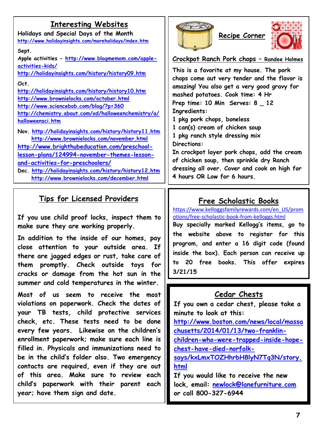## **Interesting Websites**

**Holidays and Special Days of the Month <http://www.holidayinsights.com/moreholidays/index.htm>**

#### **Sept.**

**Apple activities - [http://www.blogmemom.com/apple](http://www.blogmemom.com/apple-activities-kids/)[activities-kids/](http://www.blogmemom.com/apple-activities-kids/)**

**<http://holidayinsights.com/history/history09.htm>**

#### **Oct.**

**<http://holidayinsights.com/history/history10.htm> <http://www.brownielocks.com/october.html> <http://www.sciencebob.com/blog/?p=360> [http://chemistry.about.com/od/halloweenchemistry/a/](http://chemistry.about.com/od/halloweenchemistry/a/halloweensci.htm) [halloweensci.htm](http://chemistry.about.com/od/halloweenchemistry/a/halloweensci.htm)**

**Nov. <http://holidayinsights.com/history/history11.htm> <http://www.brownielocks.com/november.html> [http://www.brighthubeducation.com/preschool](http://www.brighthubeducation.com/preschool-lesson-plans/124994-november-themes-lesson-and-activities-for-preschoolers/)[lesson-plans/124994-november-themes-lesson](http://www.brighthubeducation.com/preschool-lesson-plans/124994-november-themes-lesson-and-activities-for-preschoolers/)[and-activities-for-preschoolers/](http://www.brighthubeducation.com/preschool-lesson-plans/124994-november-themes-lesson-and-activities-for-preschoolers/) Dec. <http://holidayinsights.com/history/history12.htm> <http://www.brownielocks.com/december.html>**

### **Tips for Licensed Providers**

**If you use child proof locks, inspect them to make sure they are working properly.**

**In addition to the inside of our homes, pay close attention to your outside area. If there are jagged edges or rust, take care of them promptly. Check outside toys for cracks or damage from the hot sun in the summer and cold temperatures in the winter.**

**Most of us seem to receive the most violations on paperwork. Check the dates of your TB tests, child protective services check, etc. These tests need to be done every few years. Likewise on the children's enrollment paperwork; make sure each line is filled in. Physicals and immunizations need to be in the child's folder also. Two emergency contacts are required, even if they are out of this area. Make sure to review each child's paperwork with their parent each year; have them sign and date.**





#### **Crockpot Ranch Pork chops – Randee Holmes**

**This is a favorite at my house. The pork chops come out very tender and the flavor is amazing! You also get a very good gravy for mashed potatoes. Cook time: 4 Hr Prep time: 10 Min Serves: 8 \_ 12 Ingredients:**

**1 pkg pork chops, boneless** 

**1 can(s) cream of chicken soup**

**1 pkg ranch style dressing mix**

**Directions:**

**In crockpot layer pork chops, add the cream of chicken soup, then sprinkle dry Ranch dressing all over. Cover and cook on high for 4 hours OR Low for 6 hours.**

## **Free Scholastic Books**

[https://www.kelloggsfamilyrewards.com/en\\_US/prom](https://www.kelloggsfamilyrewards.com/en_US/promotions/free-scholastic-book-from-kelloggs.html) [otions/free-scholastic-book-from-kelloggs.html](https://www.kelloggsfamilyrewards.com/en_US/promotions/free-scholastic-book-from-kelloggs.html)

**Buy specially marked Kellogg's items, go to the website above to register for this program, and enter a 16 digit code (found inside the box). Each person can receive up to 20 free books. This offer expires 3/21/15**

## **Cedar Chests**

**If you own a cedar chest, please take a minute to look at this: [http://www.boston.com/news/local/massa](http://www.boston.com/news/local/massachusetts/2014/01/13/two-franklin-children-who-were-trapped-inside-hope-chest-have-died-norfolk-says/kxLmxTOZHhrbH8lyN7Tq3N/story.html) [chusetts/2014/01/13/two-franklin](http://www.boston.com/news/local/massachusetts/2014/01/13/two-franklin-children-who-were-trapped-inside-hope-chest-have-died-norfolk-says/kxLmxTOZHhrbH8lyN7Tq3N/story.html)[children-who-were-trapped-inside-hope](http://www.boston.com/news/local/massachusetts/2014/01/13/two-franklin-children-who-were-trapped-inside-hope-chest-have-died-norfolk-says/kxLmxTOZHhrbH8lyN7Tq3N/story.html)[chest-have-died-norfolk](http://www.boston.com/news/local/massachusetts/2014/01/13/two-franklin-children-who-were-trapped-inside-hope-chest-have-died-norfolk-says/kxLmxTOZHhrbH8lyN7Tq3N/story.html)[says/kxLmxTOZHhrbH8lyN7Tq3N/story.](http://www.boston.com/news/local/massachusetts/2014/01/13/two-franklin-children-who-were-trapped-inside-hope-chest-have-died-norfolk-says/kxLmxTOZHhrbH8lyN7Tq3N/story.html) [html](http://www.boston.com/news/local/massachusetts/2014/01/13/two-franklin-children-who-were-trapped-inside-hope-chest-have-died-norfolk-says/kxLmxTOZHhrbH8lyN7Tq3N/story.html)**

**If you would like to receive the new lock, email: [newlock@lanefurniture.com](mailto:newlock@lanefurniture.com) or call 800-327-6944**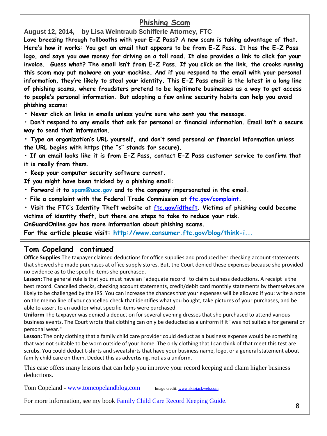## **Phishing Scam**

**August 12, 2014, by Lisa Weintraub Schifferle Attorney, FTC** 

**Love breezing through tollbooths with your E-Z Pass? A new scam is taking advantage of that. Here's how it works: You get an email that appears to be from E-Z Pass. It has the E-Z Pass logo, and says you owe money for driving on a toll road. It also provides a link to click for your invoice. Guess what? The email isn't from E-Z Pass. If you click on the link, the crooks running this scam may put malware on your machine. And if you respond to the email with your personal information, they're likely to steal your identity. This E-Z Pass email is the latest in a long line of phishing scams, where fraudsters pretend to be legitimate businesses as a way to get access to people's personal information. But adopting a few online security habits can help you avoid phishing scams:** 

**• Never click on links in emails unless you're sure who sent you the message.** 

**• Don't respond to any emails that ask for personal or financial information. Email isn't a secure way to send that information.** 

**• Type an organization's URL yourself, and don't send personal or financial information unless the URL begins with https (the "s" stands for secure).**

**• If an email looks like it is from E-Z Pass, contact E-Z Pass customer service to confirm that it is really from them.** 

**• Keep your computer security software current.** 

**If you might have been tricked by a phishing email:** 

**• Forward it to [spam@uce.gov](mailto:spam@uce.gov) and to the company impersonated in the email.** 

**• File a complaint with the Federal Trade Commission at [ftc.gov/complaint](http://ftc.gov/complaint).** 

**• Visit the FTC's Identity Theft website at [ftc.gov/idtheft.](http://ftc.gov/idtheft) Victims of phishing could become victims of identity theft, but there are steps to take to reduce your risk.** 

**OnGuardOnline.gov has more information about phishing scams.** 

**For the article please visit: [http://www.consumer.ftc.gov/blog/think-i...](http://www.consumer.ftc.gov/blog/think-its-e-z?utm_source=govdelivery)**

#### **Tom Copeland continued**

I

**Office Supplies** The taxpayer claimed deductions for office supplies and produced her checking account statements that showed she made purchases at office supply stores. But, the Court denied these expenses because she provided no evidence as to the specific items she purchased.

**Lesson:** The general rule is that you must have an "adequate record" to claim business deductions. A receipt is the best record. Cancelled checks, checking account statements, credit/debit card monthly statements by themselves are likely to be challenged by the IRS. You can increase the chances that your expenses will be allowed if you: write a note on the memo line of your cancelled check that identifies what you bought, take pictures of your purchases, and be able to assert to an auditor what specific items were purchased.

**Uniform** The taxpayer was denied a deduction for several evening dresses that she purchased to attend various business events. The Court wrote that clothing can only be deducted as a uniform if it "was not suitable for general or personal wear."

**Lesson:** The only clothing that a family child care provider could deduct as a business expense would be something that was not suitable to be worn outside of your home. The only clothing that I can think of that meet this test are scrubs. You could deduct t-shirts and sweatshirts that have your business name, logo, or a general statement about family child care on them. Deduct this as advertising, not as a uniform.

This case offers many lessons that can help you improve your record keeping and claim higher business deductions.

Tom Copeland - [www.tomcopelandblog.com](http://www.tomcopelandblog.com/) Image credit[: www.skipjackweb.com](http://www.skipjackweb.com/manage-business-receipts-with-evernote/)

For more information, see my book [Family Child Care Record Keeping Guide.](http://www.tomcopelandblog.com/family-child-care-record-keeping-guide-8th-edition.html)